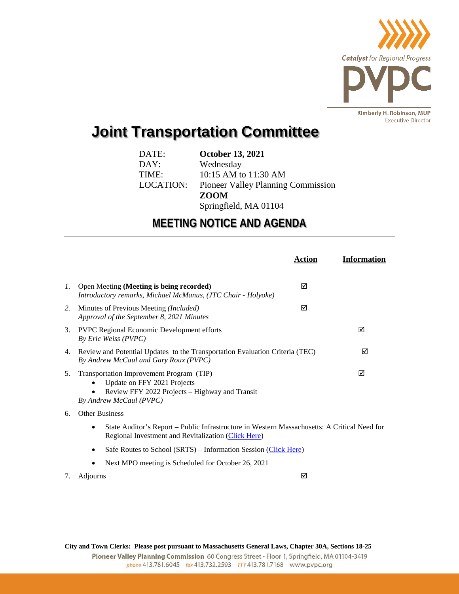

## **Joint Transportation Committee**

| DATE:     | <b>October 13, 2021</b>                   |
|-----------|-------------------------------------------|
| DAY:      | Wednesday                                 |
| TIME:     | 10:15 AM to 11:30 AM                      |
| LOCATION: | <b>Pioneer Valley Planning Commission</b> |
|           | <b>ZOOM</b>                               |
|           | Springfield, MA 01104                     |

## **MEETING NOTICE AND AGENDA**

|                 |                                                                                                                                                          | Action | <b>Information</b> |  |
|-----------------|----------------------------------------------------------------------------------------------------------------------------------------------------------|--------|--------------------|--|
| $\mathcal{I}$ . | Open Meeting (Meeting is being recorded)<br>Introductory remarks, Michael McManus, (JTC Chair - Holyoke)                                                 | ⊠      |                    |  |
| 2.              | Minutes of Previous Meeting <i>(Included)</i><br>Approval of the September 8, 2021 Minutes                                                               | ⊠      |                    |  |
| 3.              | <b>PVPC Regional Economic Development efforts</b><br>By Eric Weiss (PVPC)                                                                                |        | ⊠                  |  |
|                 | 4. Review and Potential Updates to the Transportation Evaluation Criteria (TEC)<br>By Andrew McCaul and Gary Roux (PVPC)                                 | ☑      |                    |  |
| 5.              | Transportation Improvement Program (TIP)<br>Update on FFY 2021 Projects<br>Review FFY 2022 Projects – Highway and Transit<br>By Andrew McCaul (PVPC)     |        | ☑                  |  |
| 6.              | <b>Other Business</b>                                                                                                                                    |        |                    |  |
|                 | State Auditor's Report – Public Infrastructure in Western Massachusetts: A Critical Need for<br>٠<br>Regional Investment and Revitalization (Click Here) |        |                    |  |

- Safe Routes to School (SRTS) Information Session [\(Click Here\)](https://us02web.zoom.us/meeting/register/tZ0lf--rpjoiHtS6hs-N8mrxJSA6lfXhfPSl)
- Next MPO meeting is Scheduled for October 26, 2021
- 7. Adjourns